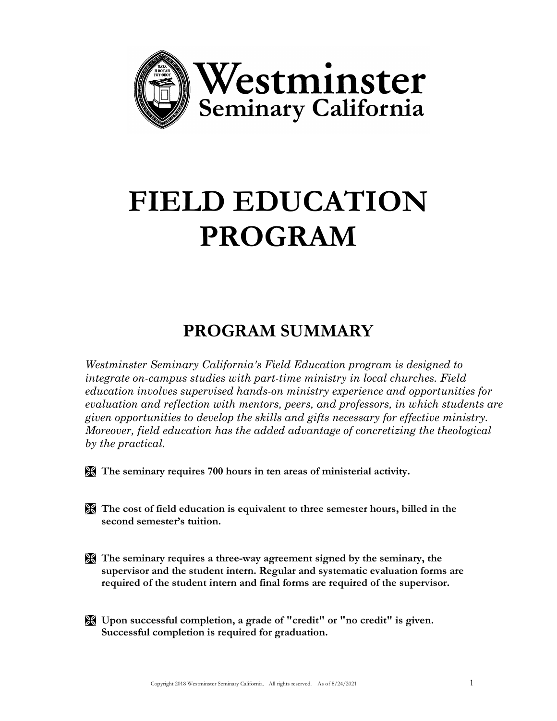

# **FIELD EDUCATION PROGRAM**

## **PROGRAM SUMMARY**

*Westminster Seminary California's Field Education program is designed to integrate on-campus studies with part-time ministry in local churches. Field education involves supervised hands-on ministry experience and opportunities for evaluation and reflection with mentors, peers, and professors, in which students are given opportunities to develop the skills and gifts necessary for effective ministry. Moreover, field education has the added advantage of concretizing the theological by the practical.*

**The seminary requires 700 hours in ten areas of ministerial activity.**

- **The cost of field education is equivalent to three semester hours, billed in the second semester's tuition.**
- **The seminary requires a three-way agreement signed by the seminary, the supervisor and the student intern. Regular and systematic evaluation forms are required of the student intern and final forms are required of the supervisor.**
- **Upon successful completion, a grade of "credit" or "no credit" is given. Successful completion is required for graduation.**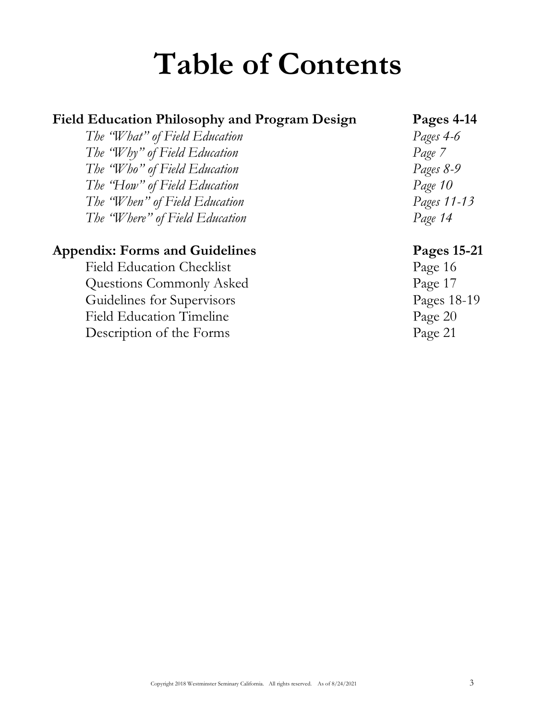# **Table of Contents**

#### **Field Education Philosophy and Program Design Pages 4-14**

*The "What" of Field Education Pages 4-6 The "Why" of Field Education Page 7 The "Who" of Field Education Pages 8-9 The "How" of Field Education Page 10 The "When" of Field Education Pages 11-13 The "Where" of Field Education Page 14*

#### **Appendix: Forms and Guidelines Pages 15-21**

Field Education Checklist Page 16 Questions Commonly Asked Page 17 Guidelines for Supervisors Pages 18-19 Field Education Timeline Page 20 Description of the Forms Page 21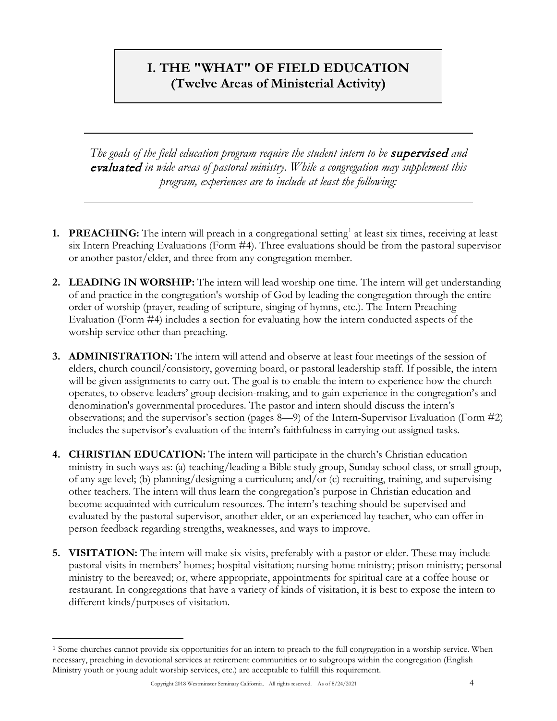#### **I. THE "WHAT" OF FIELD EDUCATION (Twelve Areas of Ministerial Activity)**

*The goals of the field education program require the student intern to be* supervised *and*  evaluated *in wide areas of pastoral ministry. While a congregation may supplement this program, experiences are to include at least the following:*

- **[1](#page-3-0). PREACHING:** The intern will preach in a congregational setting<sup>1</sup> at least six times, receiving at least six Intern Preaching Evaluations (Form #4). Three evaluations should be from the pastoral supervisor or another pastor/elder, and three from any congregation member.
- **2. LEADING IN WORSHIP:** The intern will lead worship one time. The intern will get understanding of and practice in the congregation's worship of God by leading the congregation through the entire order of worship (prayer, reading of scripture, singing of hymns, etc.). The Intern Preaching Evaluation (Form #4) includes a section for evaluating how the intern conducted aspects of the worship service other than preaching.
- **3. ADMINISTRATION:** The intern will attend and observe at least four meetings of the session of elders, church council/consistory, governing board, or pastoral leadership staff. If possible, the intern will be given assignments to carry out. The goal is to enable the intern to experience how the church operates, to observe leaders' group decision-making, and to gain experience in the congregation's and denomination's governmental procedures. The pastor and intern should discuss the intern's observations; and the supervisor's section (pages 8—9) of the Intern-Supervisor Evaluation (Form #2) includes the supervisor's evaluation of the intern's faithfulness in carrying out assigned tasks.
- **4. CHRISTIAN EDUCATION:** The intern will participate in the church's Christian education ministry in such ways as: (a) teaching/leading a Bible study group, Sunday school class, or small group, of any age level; (b) planning/designing a curriculum; and/or (c) recruiting, training, and supervising other teachers. The intern will thus learn the congregation's purpose in Christian education and become acquainted with curriculum resources. The intern's teaching should be supervised and evaluated by the pastoral supervisor, another elder, or an experienced lay teacher, who can offer inperson feedback regarding strengths, weaknesses, and ways to improve.
- **5. VISITATION:** The intern will make six visits, preferably with a pastor or elder. These may include pastoral visits in members' homes; hospital visitation; nursing home ministry; prison ministry; personal ministry to the bereaved; or, where appropriate, appointments for spiritual care at a coffee house or restaurant. In congregations that have a variety of kinds of visitation, it is best to expose the intern to different kinds/purposes of visitation.

<span id="page-3-0"></span><sup>1</sup> Some churches cannot provide six opportunities for an intern to preach to the full congregation in a worship service. When necessary, preaching in devotional services at retirement communities or to subgroups within the congregation (English Ministry youth or young adult worship services, etc.) are acceptable to fulfill this requirement.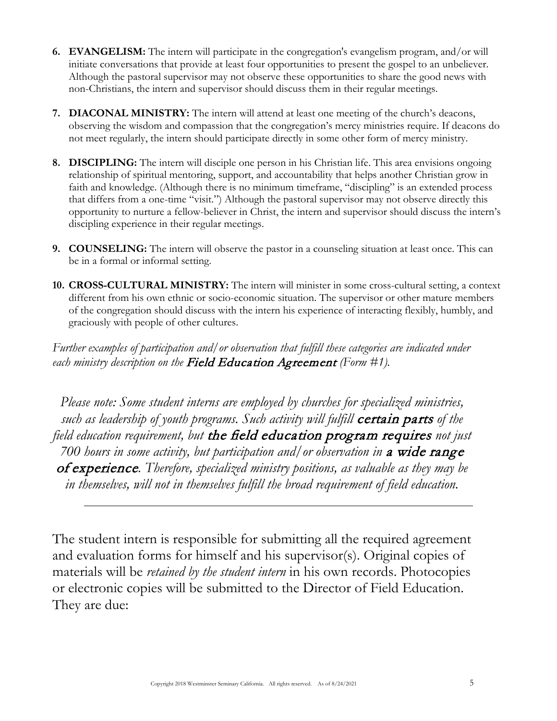- **6. EVANGELISM:** The intern will participate in the congregation's evangelism program, and/or will initiate conversations that provide at least four opportunities to present the gospel to an unbeliever. Although the pastoral supervisor may not observe these opportunities to share the good news with non-Christians, the intern and supervisor should discuss them in their regular meetings.
- **7. DIACONAL MINISTRY:** The intern will attend at least one meeting of the church's deacons, observing the wisdom and compassion that the congregation's mercy ministries require. If deacons do not meet regularly, the intern should participate directly in some other form of mercy ministry.
- **8. DISCIPLING:** The intern will disciple one person in his Christian life. This area envisions ongoing relationship of spiritual mentoring, support, and accountability that helps another Christian grow in faith and knowledge. (Although there is no minimum timeframe, "discipling" is an extended process that differs from a one-time "visit.") Although the pastoral supervisor may not observe directly this opportunity to nurture a fellow-believer in Christ, the intern and supervisor should discuss the intern's discipling experience in their regular meetings.
- **9. COUNSELING:** The intern will observe the pastor in a counseling situation at least once. This can be in a formal or informal setting.
- **10. CROSS-CULTURAL MINISTRY:** The intern will minister in some cross-cultural setting, a context different from his own ethnic or socio-economic situation. The supervisor or other mature members of the congregation should discuss with the intern his experience of interacting flexibly, humbly, and graciously with people of other cultures.

*Further examples of participation and/or observation that fulfill these categories are indicated under each ministry description on the* Field Education Agreement *(Form #1).*

*Please note: Some student interns are employed by churches for specialized ministries, such as leadership of youth programs. Such activity will fulfill* certain parts *of the field education requirement, but* the field education program requires *not just 700 hours in some activity, but participation and/or observation in* a wide range of experience*. Therefore, specialized ministry positions, as valuable as they may be in themselves, will not in themselves fulfill the broad requirement of field education.*

The student intern is responsible for submitting all the required agreement and evaluation forms for himself and his supervisor(s). Original copies of materials will be *retained by the student intern* in his own records. Photocopies or electronic copies will be submitted to the Director of Field Education. They are due: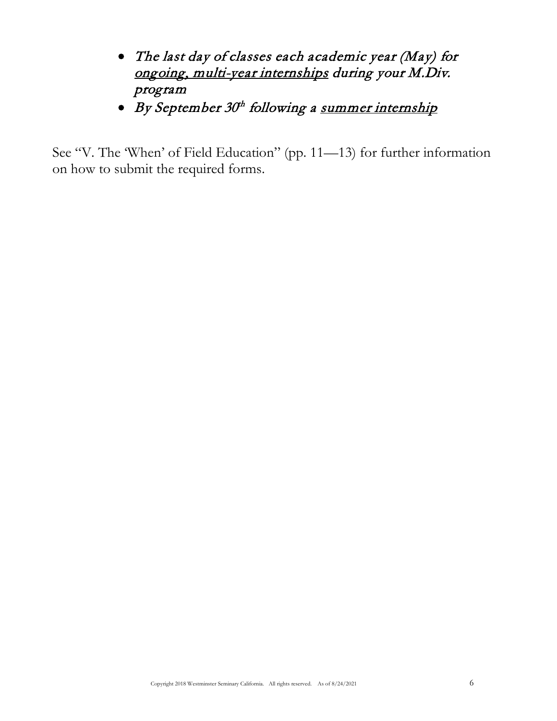- The last day of classes each academic year (May) for ongoing, multi-year internships during your M.Div. program
- By September 30<sup>th</sup> following a summer internship

See "V. The 'When' of Field Education" (pp. 11—13) for further information on how to submit the required forms.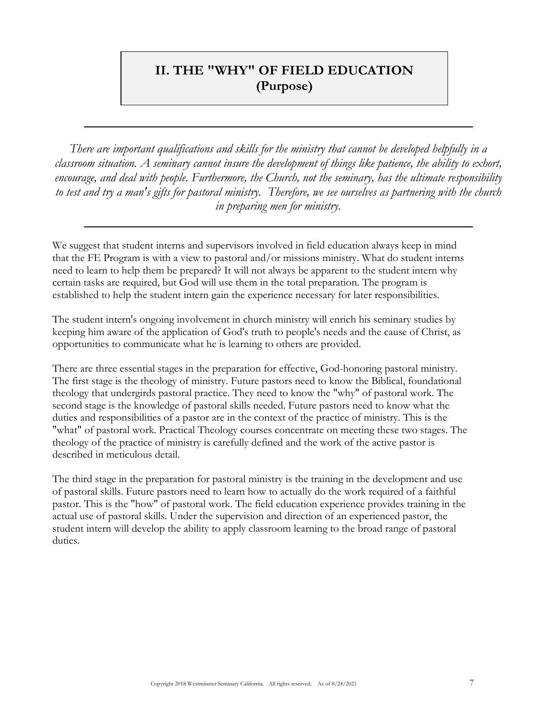#### **II. THE "WHY" OF FIELD EDUCATION (Purpose)**

*There are important qualifications and skills for the ministry that cannot be developed helpfully in a classroom situation. A seminary cannot insure the development of things like patience, the ability to exhort, encourage, and deal with people. Furthermore, the Church, not the seminary, has the ultimate responsibility to test and try a man's gifts for pastoral ministry. Therefore, we see ourselves as partnering with the church in preparing men for ministry.*

We suggest that student interns and supervisors involved in field education always keep in mind that the FE Program is with a view to pastoral and/or missions ministry. What do student interns need to learn to help them be prepared? It will not always be apparent to the student intern why certain tasks are required, but God will use them in the total preparation. The program is established to help the student intern gain the experience necessary for later responsibilities.

The student intern's ongoing involvement in church ministry will enrich his seminary studies by keeping him aware of the application of God's truth to people's needs and the cause of Christ, as opportunities to communicate what he is learning to others are provided.

There are three essential stages in the preparation for effective, God-honoring pastoral ministry. The first stage is the theology of ministry. Future pastors need to know the Biblical, foundational theology that undergirds pastoral practice. They need to know the "why" of pastoral work. The second stage is the knowledge of pastoral skills needed. Future pastors need to know what the duties and responsibilities of a pastor are in the context of the practice of ministry. This is the "what" of pastoral work. Practical Theology courses concentrate on meeting these two stages. The theology of the practice of ministry is carefully defined and the work of the active pastor is described in meticulous detail.

The third stage in the preparation for pastoral ministry is the training in the development and use of pastoral skills. Future pastors need to learn how to actually do the work required of a faithful pastor. This is the "how" of pastoral work. The field education experience provides training in the actual use of pastoral skills. Under the supervision and direction of an experienced pastor, the student intern will develop the ability to apply classroom learning to the broad range of pastoral duties.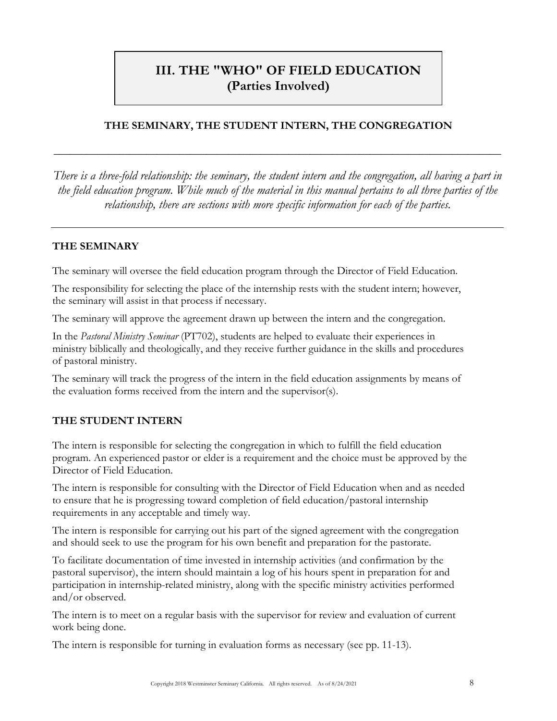### **III. THE "WHO" OF FIELD EDUCATION (Parties Involved)**

#### **THE SEMINARY, THE STUDENT INTERN, THE CONGREGATION**

**\_\_\_\_\_\_\_\_\_\_\_\_\_\_\_\_\_\_\_\_\_\_\_\_\_\_\_\_\_\_\_\_\_\_\_\_\_\_\_\_\_\_\_\_\_\_\_\_\_\_\_\_\_\_\_\_\_\_\_\_\_\_\_\_\_\_\_\_\_\_\_\_\_\_\_\_\_\_\_\_\_\_**

*There is a three-fold relationship: the seminary, the student intern and the congregation, all having a part in the field education program. While much of the material in this manual pertains to all three parties of the relationship, there are sections with more specific information for each of the parties.*

#### **THE SEMINARY**

The seminary will oversee the field education program through the Director of Field Education.

The responsibility for selecting the place of the internship rests with the student intern; however, the seminary will assist in that process if necessary.

The seminary will approve the agreement drawn up between the intern and the congregation.

In the *Pastoral Ministry Seminar* (PT702), students are helped to evaluate their experiences in ministry biblically and theologically, and they receive further guidance in the skills and procedures of pastoral ministry.

The seminary will track the progress of the intern in the field education assignments by means of the evaluation forms received from the intern and the supervisor(s).

#### **THE STUDENT INTERN**

The intern is responsible for selecting the congregation in which to fulfill the field education program. An experienced pastor or elder is a requirement and the choice must be approved by the Director of Field Education.

The intern is responsible for consulting with the Director of Field Education when and as needed to ensure that he is progressing toward completion of field education/pastoral internship requirements in any acceptable and timely way.

The intern is responsible for carrying out his part of the signed agreement with the congregation and should seek to use the program for his own benefit and preparation for the pastorate.

To facilitate documentation of time invested in internship activities (and confirmation by the pastoral supervisor), the intern should maintain a log of his hours spent in preparation for and participation in internship-related ministry, along with the specific ministry activities performed and/or observed.

The intern is to meet on a regular basis with the supervisor for review and evaluation of current work being done.

The intern is responsible for turning in evaluation forms as necessary (see pp. 11-13).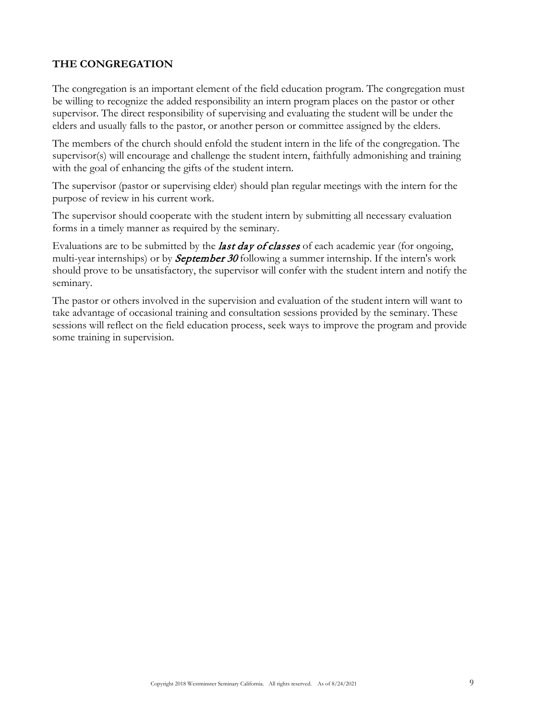#### **THE CONGREGATION**

The congregation is an important element of the field education program. The congregation must be willing to recognize the added responsibility an intern program places on the pastor or other supervisor. The direct responsibility of supervising and evaluating the student will be under the elders and usually falls to the pastor, or another person or committee assigned by the elders.

The members of the church should enfold the student intern in the life of the congregation. The supervisor(s) will encourage and challenge the student intern, faithfully admonishing and training with the goal of enhancing the gifts of the student intern.

The supervisor (pastor or supervising elder) should plan regular meetings with the intern for the purpose of review in his current work.

The supervisor should cooperate with the student intern by submitting all necessary evaluation forms in a timely manner as required by the seminary.

Evaluations are to be submitted by the *last day of classes* of each academic year (for ongoing, multi-year internships) or by **September 30** following a summer internship. If the intern's work should prove to be unsatisfactory, the supervisor will confer with the student intern and notify the seminary.

The pastor or others involved in the supervision and evaluation of the student intern will want to take advantage of occasional training and consultation sessions provided by the seminary. These sessions will reflect on the field education process, seek ways to improve the program and provide some training in supervision.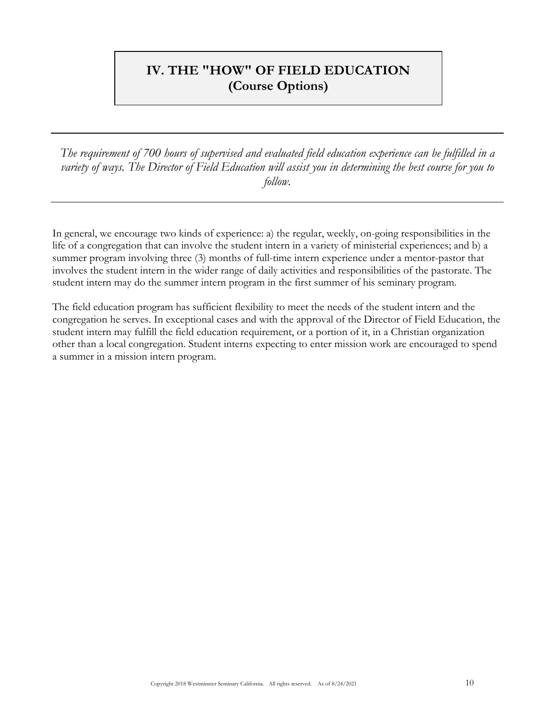#### **IV. THE "HOW" OF FIELD EDUCATION (Course Options)**

*The requirement of 700 hours of supervised and evaluated field education experience can be fulfilled in a variety of ways. The Director of Field Education will assist you in determining the best course for you to follow.*

In general, we encourage two kinds of experience: a) the regular, weekly, on-going responsibilities in the life of a congregation that can involve the student intern in a variety of ministerial experiences; and b) a summer program involving three (3) months of full-time intern experience under a mentor-pastor that involves the student intern in the wider range of daily activities and responsibilities of the pastorate. The student intern may do the summer intern program in the first summer of his seminary program.

The field education program has sufficient flexibility to meet the needs of the student intern and the congregation he serves. In exceptional cases and with the approval of the Director of Field Education, the student intern may fulfill the field education requirement, or a portion of it, in a Christian organization other than a local congregation. Student interns expecting to enter mission work are encouraged to spend a summer in a mission intern program.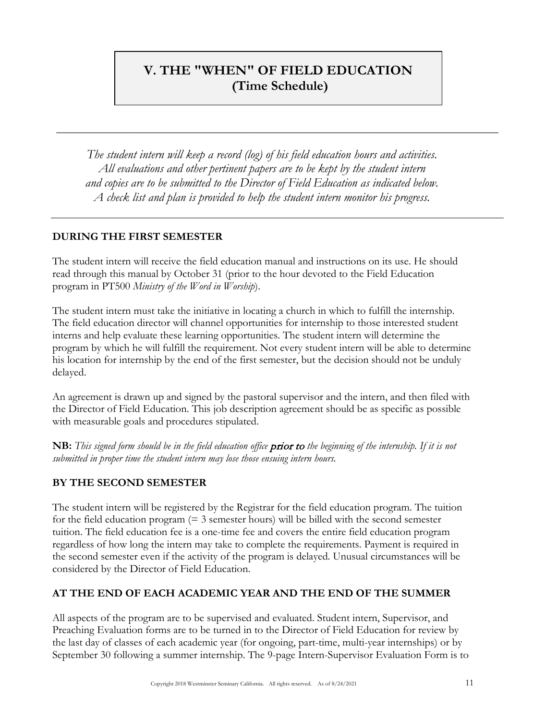### **V. THE "WHEN" OF FIELD EDUCATION (Time Schedule)**

\_\_\_\_\_\_\_\_\_\_\_\_\_\_\_\_\_\_\_\_\_\_\_\_\_\_\_\_\_\_\_\_\_\_\_\_\_\_\_\_\_\_\_\_\_\_\_\_\_\_\_\_\_\_\_\_\_\_\_\_\_\_\_\_\_\_\_\_\_\_\_\_\_\_\_\_\_\_\_\_\_

*The student intern will keep a record (log) of his field education hours and activities. All evaluations and other pertinent papers are to be kept by the student intern and copies are to be submitted to the Director of Field Education as indicated below. A check list and plan is provided to help the student intern monitor his progress.*

#### **DURING THE FIRST SEMESTER**

The student intern will receive the field education manual and instructions on its use. He should read through this manual by October 31 (prior to the hour devoted to the Field Education program in PT500 *Ministry of the Word in Worship*).

The student intern must take the initiative in locating a church in which to fulfill the internship. The field education director will channel opportunities for internship to those interested student interns and help evaluate these learning opportunities. The student intern will determine the program by which he will fulfill the requirement. Not every student intern will be able to determine his location for internship by the end of the first semester, but the decision should not be unduly delayed.

An agreement is drawn up and signed by the pastoral supervisor and the intern, and then filed with the Director of Field Education. This job description agreement should be as specific as possible with measurable goals and procedures stipulated.

**NB:** *This signed form should be in the field education office* prior to *the beginning of the internship. If it is not submitted in proper time the student intern may lose those ensuing intern hours.*

#### **BY THE SECOND SEMESTER**

The student intern will be registered by the Registrar for the field education program. The tuition for the field education program  $(= 3$  semester hours) will be billed with the second semester tuition. The field education fee is a one-time fee and covers the entire field education program regardless of how long the intern may take to complete the requirements. Payment is required in the second semester even if the activity of the program is delayed. Unusual circumstances will be considered by the Director of Field Education.

#### **AT THE END OF EACH ACADEMIC YEAR AND THE END OF THE SUMMER**

All aspects of the program are to be supervised and evaluated. Student intern, Supervisor, and Preaching Evaluation forms are to be turned in to the Director of Field Education for review by the last day of classes of each academic year (for ongoing, part-time, multi-year internships) or by September 30 following a summer internship. The 9-page Intern-Supervisor Evaluation Form is to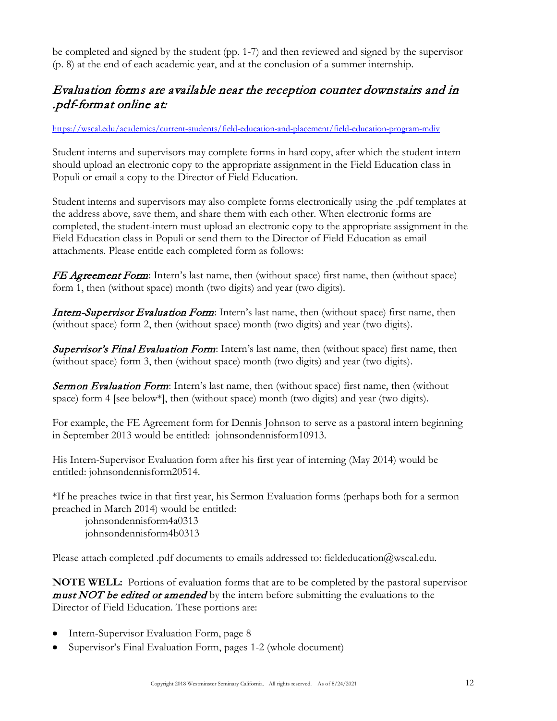be completed and signed by the student (pp. 1-7) and then reviewed and signed by the supervisor (p. 8) at the end of each academic year, and at the conclusion of a summer internship.

#### Evaluation forms are available near the reception counter downstairs and in .pdf-format online at:

#### https://wscal.edu/academics/current-students/field-education-and-placement/field-education-program-mdiv

Student interns and supervisors may complete forms in hard copy, after which the student intern should upload an electronic copy to the appropriate assignment in the Field Education class in Populi or email a copy to the Director of Field Education.

Student interns and supervisors may also complete forms electronically using the .pdf templates at the address above, save them, and share them with each other. When electronic forms are completed, the student-intern must upload an electronic copy to the appropriate assignment in the Field Education class in Populi or send them to the Director of Field Education as email attachments. Please entitle each completed form as follows:

FE Agreement Form: Intern's last name, then (without space) first name, then (without space) form 1, then (without space) month (two digits) and year (two digits).

Intern-Supervisor Evaluation Form: Intern's last name, then (without space) first name, then (without space) form 2, then (without space) month (two digits) and year (two digits).

Supervisor's Final Evaluation Form: Intern's last name, then (without space) first name, then (without space) form 3, then (without space) month (two digits) and year (two digits).

Sermon Evaluation Form: Intern's last name, then (without space) first name, then (without space) form 4 [see below\*], then (without space) month (two digits) and year (two digits).

For example, the FE Agreement form for Dennis Johnson to serve as a pastoral intern beginning in September 2013 would be entitled: johnsondennisform10913.

His Intern-Supervisor Evaluation form after his first year of interning (May 2014) would be entitled: johnsondennisform20514.

\*If he preaches twice in that first year, his Sermon Evaluation forms (perhaps both for a sermon preached in March 2014) would be entitled:

johnsondennisform4a0313 johnsondennisform4b0313

Please attach completed .pdf documents to emails addressed to: fieldeducation@wscal.edu.

**NOTE WELL:** Portions of evaluation forms that are to be completed by the pastoral supervisor **must NOT be edited or amended** by the intern before submitting the evaluations to the Director of Field Education. These portions are:

- Intern-Supervisor Evaluation Form, page 8
- Supervisor's Final Evaluation Form, pages 1-2 (whole document)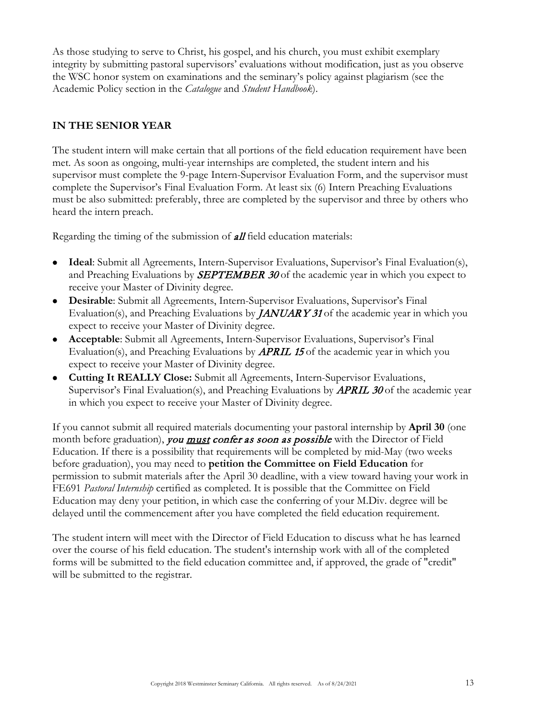As those studying to serve to Christ, his gospel, and his church, you must exhibit exemplary integrity by submitting pastoral supervisors' evaluations without modification, just as you observe the WSC honor system on examinations and the seminary's policy against plagiarism (see the Academic Policy section in the *Catalogue* and *Student Handbook*).

#### **IN THE SENIOR YEAR**

The student intern will make certain that all portions of the field education requirement have been met. As soon as ongoing, multi-year internships are completed, the student intern and his supervisor must complete the 9-page Intern-Supervisor Evaluation Form, and the supervisor must complete the Supervisor's Final Evaluation Form. At least six (6) Intern Preaching Evaluations must be also submitted: preferably, three are completed by the supervisor and three by others who heard the intern preach.

Regarding the timing of the submission of **all** field education materials:

- **Ideal**: Submit all Agreements, Intern-Supervisor Evaluations, Supervisor's Final Evaluation(s), and Preaching Evaluations by **SEPTEMBER 30** of the academic year in which you expect to receive your Master of Divinity degree.
- **Desirable**: Submit all Agreements, Intern-Supervisor Evaluations, Supervisor's Final Evaluation(s), and Preaching Evaluations by **JANUARY 31** of the academic year in which you expect to receive your Master of Divinity degree.
- **Acceptable**: Submit all Agreements, Intern-Supervisor Evaluations, Supervisor's Final Evaluation(s), and Preaching Evaluations by **APRIL 15** of the academic year in which you expect to receive your Master of Divinity degree.
- **Cutting It REALLY Close:** Submit all Agreements, Intern-Supervisor Evaluations, Supervisor's Final Evaluation(s), and Preaching Evaluations by **APRIL 30** of the academic year in which you expect to receive your Master of Divinity degree.

If you cannot submit all required materials documenting your pastoral internship by **April 30** (one month before graduation), you must confer as soon as possible with the Director of Field Education. If there is a possibility that requirements will be completed by mid-May (two weeks before graduation), you may need to **petition the Committee on Field Education** for permission to submit materials after the April 30 deadline, with a view toward having your work in FE691 *Pastoral Internship* certified as completed. It is possible that the Committee on Field Education may deny your petition, in which case the conferring of your M.Div. degree will be delayed until the commencement after you have completed the field education requirement.

The student intern will meet with the Director of Field Education to discuss what he has learned over the course of his field education. The student's internship work with all of the completed forms will be submitted to the field education committee and, if approved, the grade of "credit" will be submitted to the registrar.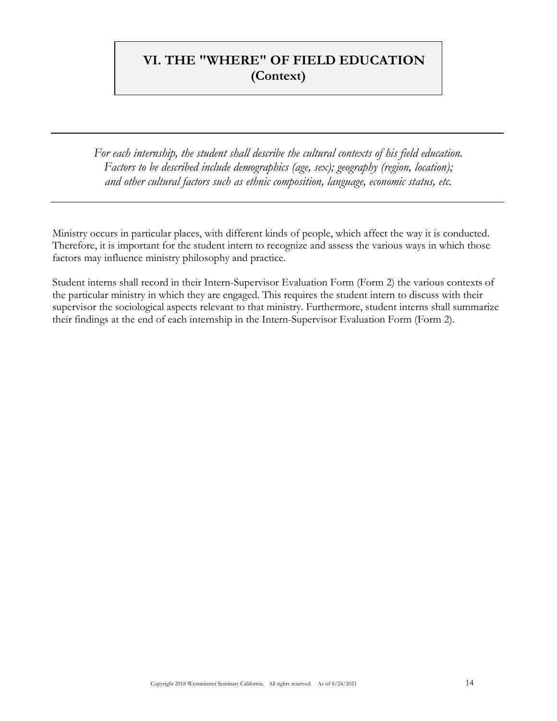#### **VI. THE "WHERE" OF FIELD EDUCATION (Context)**

*For each internship, the student shall describe the cultural contexts of his field education. Factors to be described include demographics (age, sex); geography (region, location); and other cultural factors such as ethnic composition, language, economic status, etc.*

Ministry occurs in particular places, with different kinds of people, which affect the way it is conducted. Therefore, it is important for the student intern to recognize and assess the various ways in which those factors may influence ministry philosophy and practice.

Student interns shall record in their Intern-Supervisor Evaluation Form (Form 2) the various contexts of the particular ministry in which they are engaged. This requires the student intern to discuss with their supervisor the sociological aspects relevant to that ministry. Furthermore, student interns shall summarize their findings at the end of each internship in the Intern-Supervisor Evaluation Form (Form 2).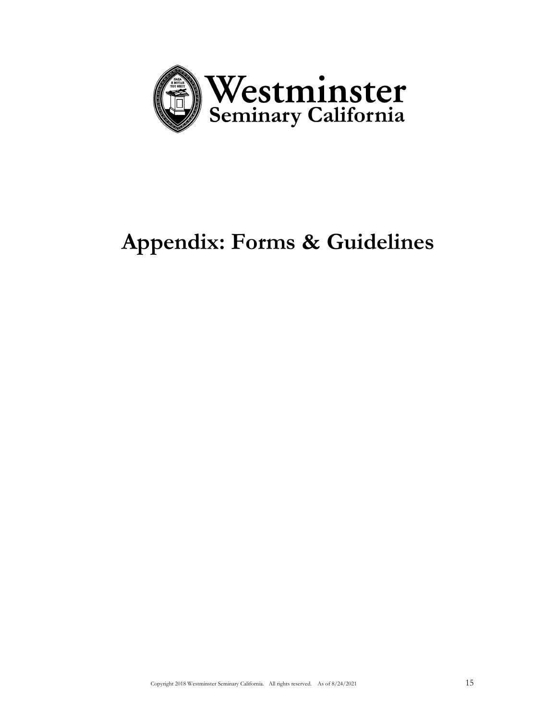

# **Appendix: Forms & Guidelines**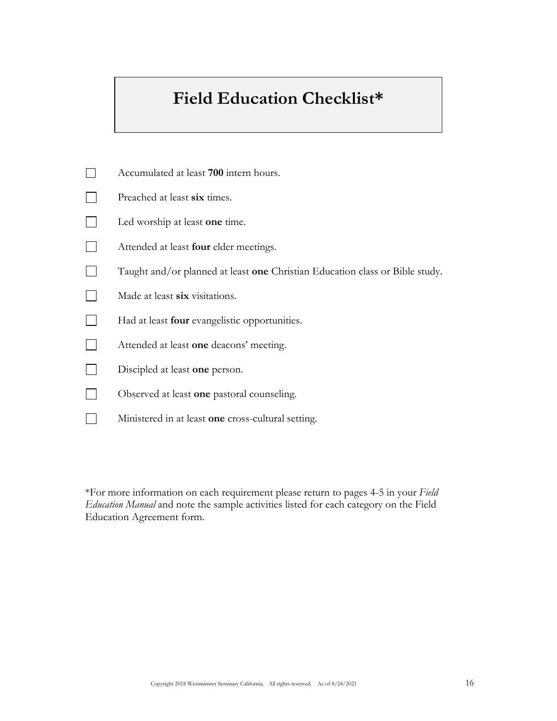# **Field Education Checklist\***

| Accumulated at least 700 intern hours.                                       |
|------------------------------------------------------------------------------|
| Preached at least six times.                                                 |
| Led worship at least one time.                                               |
| Attended at least <b>four</b> elder meetings.                                |
| Taught and/or planned at least one Christian Education class or Bible study. |
| Made at least six visitations.                                               |
| Had at least four evangelistic opportunities.                                |
| Attended at least one deacons' meeting.                                      |
| Discipled at least one person.                                               |
| Observed at least one pastoral counseling.                                   |
| Ministered in at least one cross-cultural setting.                           |

\*For more information on each requirement please return to pages 4-5 in your *Field Education Manual* and note the sample activities listed for each category on the Field Education Agreement form.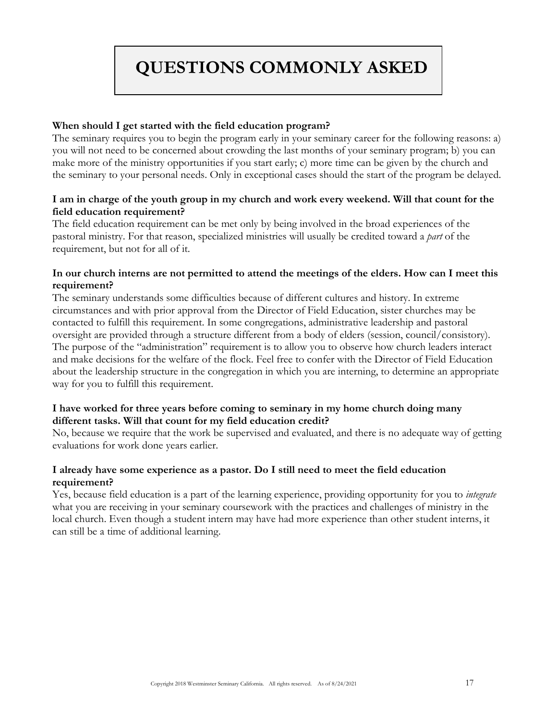# **QUESTIONS COMMONLY ASKED**

#### **When should I get started with the field education program?**

The seminary requires you to begin the program early in your seminary career for the following reasons: a) you will not need to be concerned about crowding the last months of your seminary program; b) you can make more of the ministry opportunities if you start early; c) more time can be given by the church and the seminary to your personal needs. Only in exceptional cases should the start of the program be delayed.

#### **I am in charge of the youth group in my church and work every weekend. Will that count for the field education requirement?**

The field education requirement can be met only by being involved in the broad experiences of the pastoral ministry. For that reason, specialized ministries will usually be credited toward a *part* of the requirement, but not for all of it.

#### **In our church interns are not permitted to attend the meetings of the elders. How can I meet this requirement?**

The seminary understands some difficulties because of different cultures and history. In extreme circumstances and with prior approval from the Director of Field Education, sister churches may be contacted to fulfill this requirement. In some congregations, administrative leadership and pastoral oversight are provided through a structure different from a body of elders (session, council/consistory). The purpose of the "administration" requirement is to allow you to observe how church leaders interact and make decisions for the welfare of the flock. Feel free to confer with the Director of Field Education about the leadership structure in the congregation in which you are interning, to determine an appropriate way for you to fulfill this requirement.

#### **I have worked for three years before coming to seminary in my home church doing many different tasks. Will that count for my field education credit?**

No, because we require that the work be supervised and evaluated, and there is no adequate way of getting evaluations for work done years earlier.

#### **I already have some experience as a pastor. Do I still need to meet the field education requirement?**

Yes, because field education is a part of the learning experience, providing opportunity for you to *integrate* what you are receiving in your seminary coursework with the practices and challenges of ministry in the local church. Even though a student intern may have had more experience than other student interns, it can still be a time of additional learning.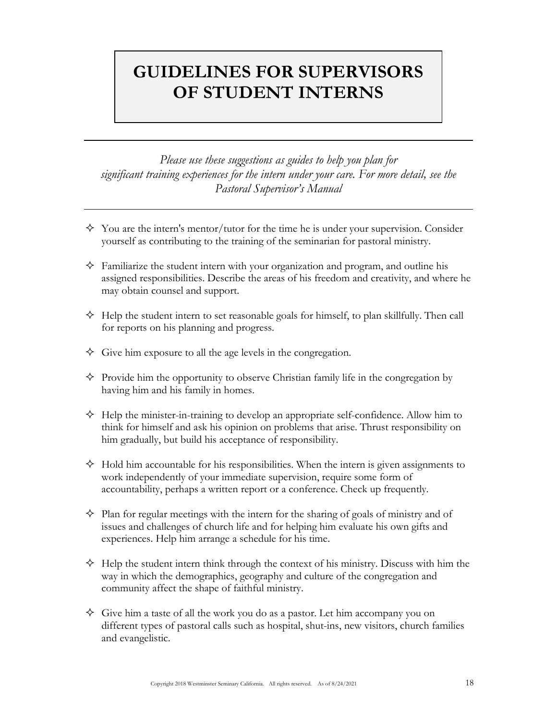## **GUIDELINES FOR SUPERVISORS OF STUDENT INTERNS**

*Please use these suggestions as guides to help you plan for significant training experiences for the intern under your care. For more detail, see the Pastoral Supervisor's Manual*

- $\Diamond$  You are the intern's mentor/tutor for the time he is under your supervision. Consider yourself as contributing to the training of the seminarian for pastoral ministry.
- $\Diamond$  Familiarize the student intern with your organization and program, and outline his assigned responsibilities. Describe the areas of his freedom and creativity, and where he may obtain counsel and support.
- $\Diamond$  Help the student intern to set reasonable goals for himself, to plan skillfully. Then call for reports on his planning and progress.
- $\Diamond$  Give him exposure to all the age levels in the congregation.
- $\Diamond$  Provide him the opportunity to observe Christian family life in the congregation by having him and his family in homes.
- $\Diamond$  Help the minister-in-training to develop an appropriate self-confidence. Allow him to think for himself and ask his opinion on problems that arise. Thrust responsibility on him gradually, but build his acceptance of responsibility.
- $\Diamond$  Hold him accountable for his responsibilities. When the intern is given assignments to work independently of your immediate supervision, require some form of accountability, perhaps a written report or a conference. Check up frequently.
- $\Diamond$  Plan for regular meetings with the intern for the sharing of goals of ministry and of issues and challenges of church life and for helping him evaluate his own gifts and experiences. Help him arrange a schedule for his time.
- $\Diamond$  Help the student intern think through the context of his ministry. Discuss with him the way in which the demographics, geography and culture of the congregation and community affect the shape of faithful ministry.
- $\Diamond$  Give him a taste of all the work you do as a pastor. Let him accompany you on different types of pastoral calls such as hospital, shut-ins, new visitors, church families and evangelistic.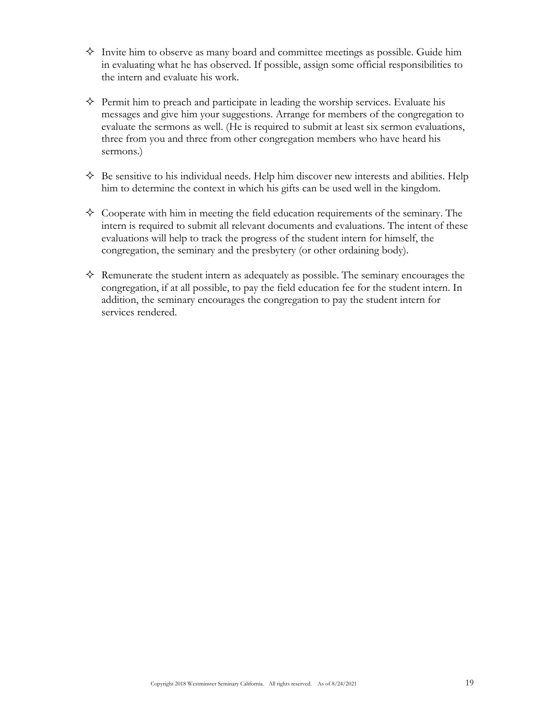- $\diamond$  Invite him to observe as many board and committee meetings as possible. Guide him in evaluating what he has observed. If possible, assign some official responsibilities to the intern and evaluate his work.
- $\Diamond$  Permit him to preach and participate in leading the worship services. Evaluate his messages and give him your suggestions. Arrange for members of the congregation to evaluate the sermons as well. (He is required to submit at least six sermon evaluations, three from you and three from other congregation members who have heard his sermons.)
- $\Diamond$  Be sensitive to his individual needs. Help him discover new interests and abilities. Help him to determine the context in which his gifts can be used well in the kingdom.
- $\Diamond$  Cooperate with him in meeting the field education requirements of the seminary. The intern is required to submit all relevant documents and evaluations. The intent of these evaluations will help to track the progress of the student intern for himself, the congregation, the seminary and the presbytery (or other ordaining body).
- $\Diamond$  Remunerate the student intern as adequately as possible. The seminary encourages the congregation, if at all possible, to pay the field education fee for the student intern. In addition, the seminary encourages the congregation to pay the student intern for services rendered.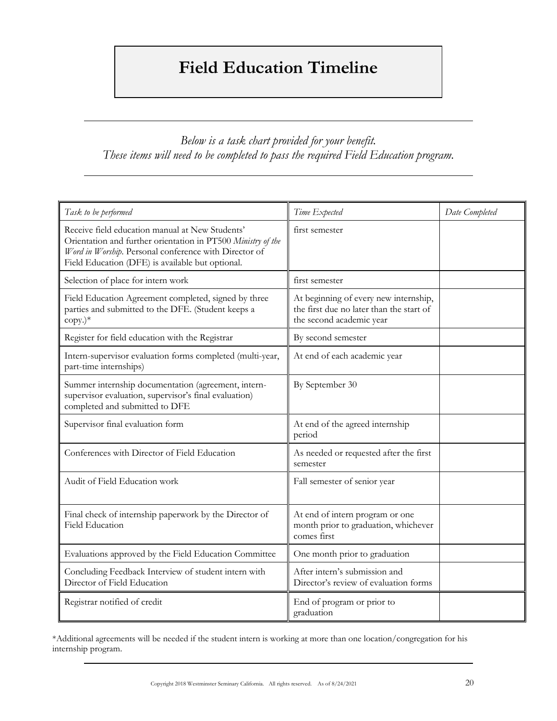# **Field Education Timeline**

#### *Below is a task chart provided for your benefit. These items will need to be completed to pass the required Field Education program.*

| Task to be performed                                                                                                                                                                                                         | Time Expected                                                                                                 | Date Completed |
|------------------------------------------------------------------------------------------------------------------------------------------------------------------------------------------------------------------------------|---------------------------------------------------------------------------------------------------------------|----------------|
| Receive field education manual at New Students'<br>Orientation and further orientation in PT500 Ministry of the<br>Word in Worship. Personal conference with Director of<br>Field Education (DFE) is available but optional. | first semester                                                                                                |                |
| Selection of place for intern work                                                                                                                                                                                           | first semester                                                                                                |                |
| Field Education Agreement completed, signed by three<br>parties and submitted to the DFE. (Student keeps a<br>$copy.)*$                                                                                                      | At beginning of every new internship,<br>the first due no later than the start of<br>the second academic year |                |
| Register for field education with the Registrar                                                                                                                                                                              | By second semester                                                                                            |                |
| Intern-supervisor evaluation forms completed (multi-year,<br>part-time internships)                                                                                                                                          | At end of each academic year                                                                                  |                |
| Summer internship documentation (agreement, intern-<br>supervisor evaluation, supervisor's final evaluation)<br>completed and submitted to DFE                                                                               | By September 30                                                                                               |                |
| Supervisor final evaluation form                                                                                                                                                                                             | At end of the agreed internship<br>period                                                                     |                |
| Conferences with Director of Field Education                                                                                                                                                                                 | As needed or requested after the first<br>semester                                                            |                |
| Audit of Field Education work                                                                                                                                                                                                | Fall semester of senior year                                                                                  |                |
| Final check of internship paperwork by the Director of<br><b>Field Education</b>                                                                                                                                             | At end of intern program or one<br>month prior to graduation, whichever<br>comes first                        |                |
| Evaluations approved by the Field Education Committee                                                                                                                                                                        | One month prior to graduation                                                                                 |                |
| Concluding Feedback Interview of student intern with<br>Director of Field Education                                                                                                                                          | After intern's submission and<br>Director's review of evaluation forms                                        |                |
| Registrar notified of credit                                                                                                                                                                                                 | End of program or prior to<br>graduation                                                                      |                |

\*Additional agreements will be needed if the student intern is working at more than one location/congregation for his internship program.